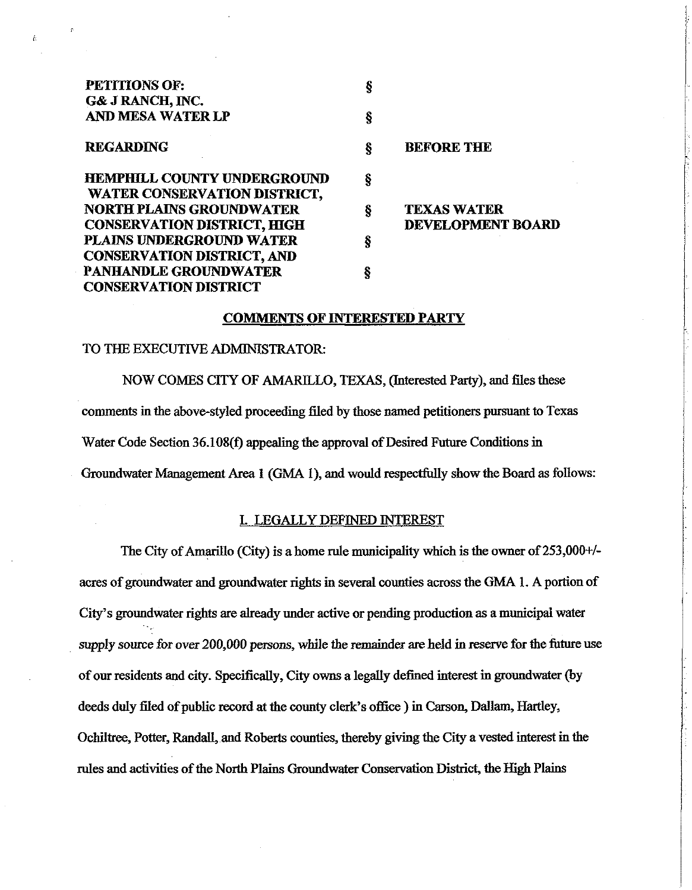| <b>PETITIONS OF:</b>               | Ş |                          |
|------------------------------------|---|--------------------------|
| G& J RANCH, INC.                   |   |                          |
| <b>AND MESA WATER LP</b>           | ş |                          |
| <b>REGARDING</b>                   | ş | <b>BEFORE THE</b>        |
|                                    |   |                          |
| <b>HEMPHILL COUNTY UNDERGROUND</b> | ş |                          |
| WATER CONSERVATION DISTRICT,       |   |                          |
| <b>NORTH PLAINS GROUNDWATER</b>    | Ş | <b>TEXAS WATER</b>       |
| <b>CONSERVATION DISTRICT, HIGH</b> |   | <b>DEVELOPMENT BOARD</b> |
| PLAINS UNDERGROUND WATER           | ş |                          |
| <b>CONSERVATION DISTRICT, AND</b>  |   |                          |
| <b>PANHANDLE GROUNDWATER</b>       | ş |                          |
| <b>CONSERVATION DISTRICT</b>       |   |                          |

#### **COMMENTS OF INTERESTED PARTY**

## TO THE EXECUTIVE ADMINISTRATOR:

NOW COMES CITY OF AMARILLO, TEXAS, (Interested Party), and tiles these **comments** in the above-styled proceeding tiled by those named petitioners pursuant to Texas Water Code Section 36.108(f) appealing the approval of Desired Future Conditions in Groundwater Management Area **1** (GMA **I),** and would respectfully show the Board as follows:

## I. LEGALLY DEFINED INTEREST

The City of Amarillo (City) is a home rule municipality which is the owner of 253,000<sup>+/-</sup> acres of groundwater and groundwater rights in several counties across the GMA **1.** A portion of City's groundwater rights are already under active or pending production as a municipal water supply source for over **200,000** persons, while the remainder are held in reserve for the future use of our residents and city. Specifically, City owns a legally defined interest in groundwater (by deeds duly **Hed** of public record at the county clerk's office ) in Carson, Dallam, Hartley, Ochittree, Potter, Randall, and Roberts counties, thereby giving the City a vested interest in the rules and activities of the North Plains Groundwater Conservation District, the High Plains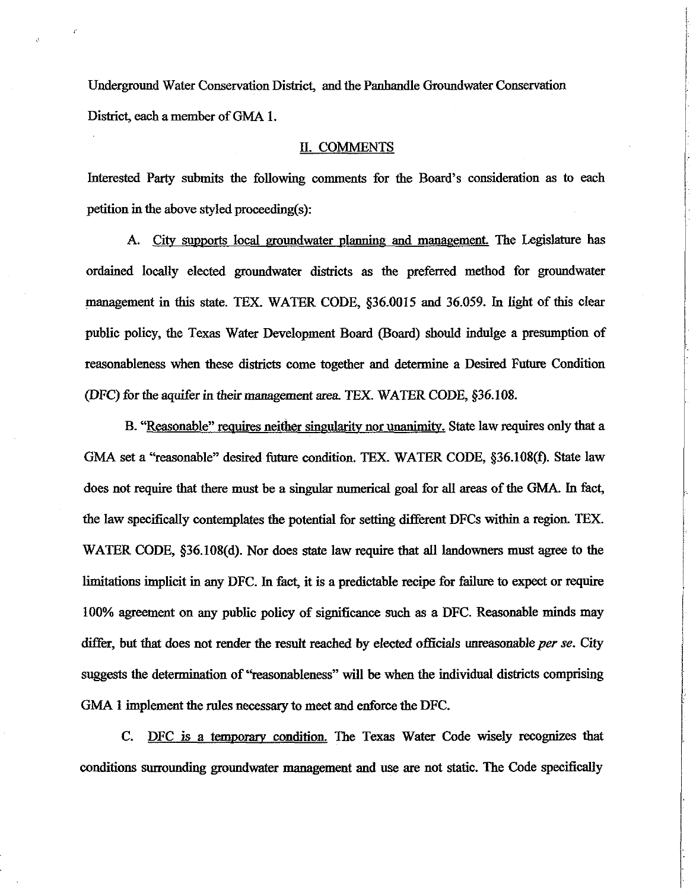Underground Water Conservation District, and the Panhandle Groundwater Conservation District, each a member of **GMA** 1.

### II. COMMENTS

Interested Party submits the following comments for the Board's consideration as to each petition in the above styled proceeding(s):

A. City supports local groundwater planning and management. The Legislature has ordained locally elected groundwater districts as **the** preferred method for groundwater management in this state. TEX. WATER CODE, \$36.0015 and 36.059. In light of this clear public policy, the Texas Water Development Board (Board) should indulge a presumption of reasonableness when these disticts come together and determine a Desired Fnture Condition (DFC) for the aquifer in their management area. TEX. WATER CODE,  $§36.108$ .

B. "Reasonable" requires neither singularity nor unanimitv. State law requires only that a GMA set a "reasonable" desired future condition. TEX. WATER CODE, §36.108(f). State law does not require that there must be a singular numerical goal for all areas of the GMA. In fact, the law specifically contemplates the potential for setting different DFCs within a regioa **TEX.**  WATER CODE, \$36.108(d). Nor does **state** law require that all landowners must agree to the limitations implicit in any DFC. In fact, it is a predictable recipe for failure to expect or require 100% agreement on any public policy of significance such as a DFC. Reasonable minds may differ, but that does not render the result reached by elected officials unreasonable per se. City suggests the determination of "reasonableness" will be when the individual districts comprising **GMA** 1 implement the rules necessary to meet and enforce the DFC.

C. DFC is a temporary condition. The Texas Water Code wisely **recognizes that**  conditions surrounding groundwater management and use are not static. The Code specifically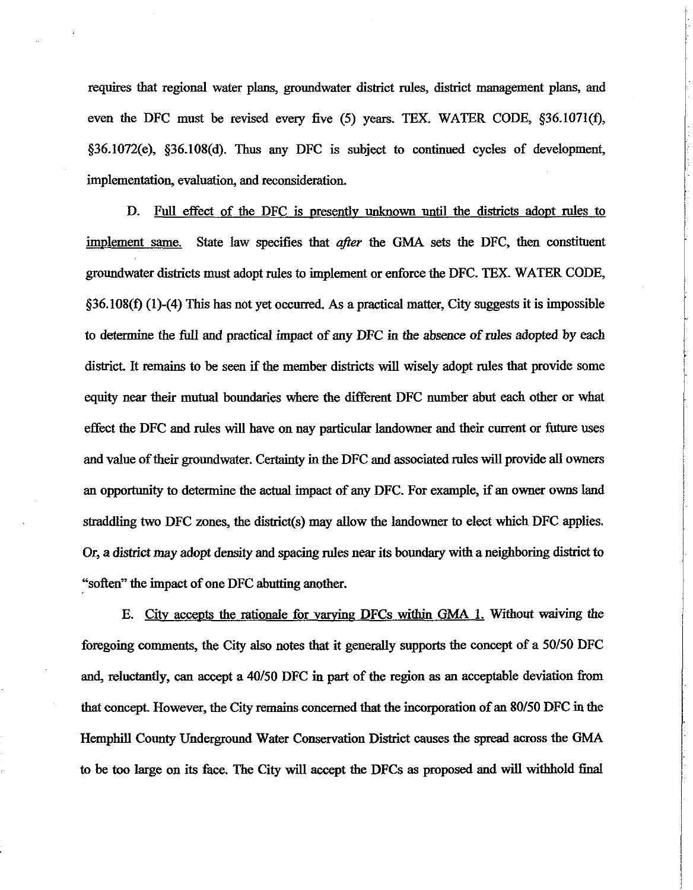requires that regional water plans, groundwater district rules, district management plans, and even the DFC must be revised every five (5) years. TEX. WATER CODE, §36.1071(f), §36.1072(e), §36.108(d). **Thus** any DFC is subject to continued cycles of development, implementation, evaluation, and reconsideration.

**D.** Full effect of the DFC is presently unknown until the districts adopt rules to implement same. State law specifies that after the **GMA** sets the DFC, then constituent groundwater districts must adopt rules to implement or enforce the DFC. TEX. **WATER** CODE, §36.108(f) (1)-(4) This has not yet occurred. As a practical matter, City suggests it is impossible to determine the 111 and practical impact of any DFC in the absence of rules adopted by each district. It remains to be seen if the member districts will wisely adopt rules that provide some equity near their mutual boundaries where the different DFC number abut each other or what effect the DFC and rules will have on nay particular landowner and their current or future uses and value of their groundwater. Certainty in the DFC and associated rules will provide all owners an opportunity to determine the **actual** impact of any DFC. For example, if an owner owns land straddling two DFC zones, the district(s) may allow the landowner to elect which DFC applies. Or, a district may adopt density and spacing rules near its boundary with a neighboring district to "soften" the impact of one DFC abutting another.

E. City accepts the rationale for varying DFCs within **GMA 1**. Without waiving the foregoing comments, the City also notes that it generally supports the concept of a 50150 DFC and, reluctantly, can accept a 40/50 DFC in part of the region as an acceptable deviation from that concept. However, the City remains concerned that the incorporation of an 80150 DFC in the Hemphill County Underground Water Conservation District causes the spread across the **GMA**  to be too large on its face. The City will accept the DFCs as proposed and will withhold final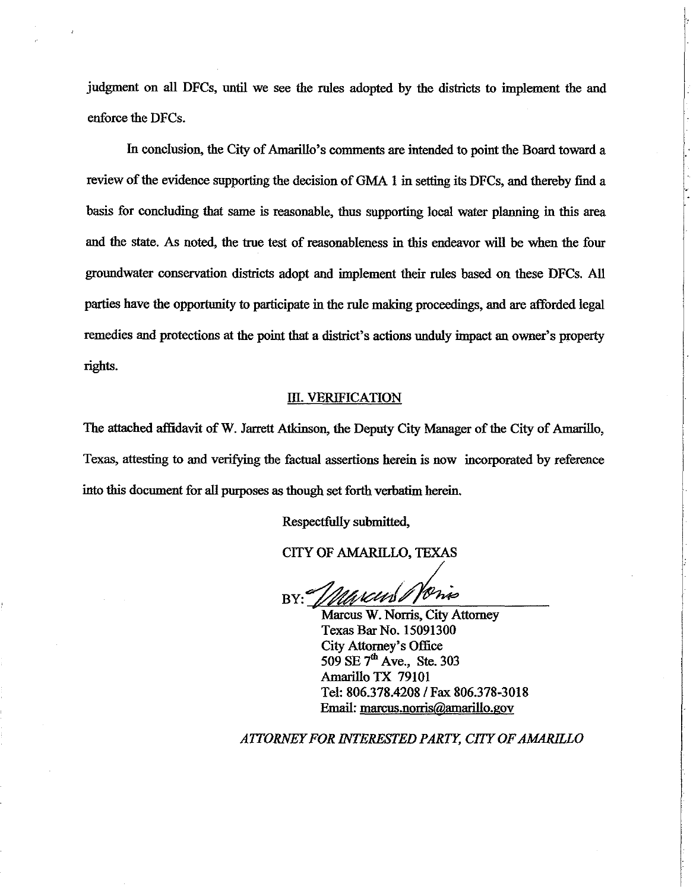judgment on **all** DFCs, until we see the **rules** adopted by the districts to implement the and enforce the DFCs.

In conclusion, the City of Amarillo's comments are intended to point the Board toward a review of the evidence supporting the decision of GMA 1 in setting its DFCs, and thereby find a basis for concluding that same is reasonable, thus supporting local water planning in this area and the state. As noted, the true test of reasonableness in this endeavor will be when the four groundwater conservation districts adopt and implement their rules based on these DFCs. **All**  parties have the opportunity to participate in the rule making proceedings, and are afforded legal remedies and protections at the point that a district's actions unduly impact an owner's property rights.

#### **m.** VERIFICATION

The attached affidavit of W. Jarrett Atkinson, the Deputy City Manager of the City of Amarillo, Texas, attesting to and verifying the factual assertions herein is now incorporated by reference into this document for **all** purposes **as** though set forth verbatim herein.

Respectfully submitted,

**CITY OF AMARILLO, TEXAS** 

BY:

Marcus W. Norris, City Attorney Texas Bar No. 15091300 City Attorney's Office 509 SE 7<sup>th</sup> Ave., Ste. 303 Amarillo TX 79101 Tel: 806.378.4208 **1** Fax 806.378-3018 **Email:** marcus.norris@amarillo.gov

*ATTORNEYFOR NKERESTED PARTY; CITYOFAM4RELO*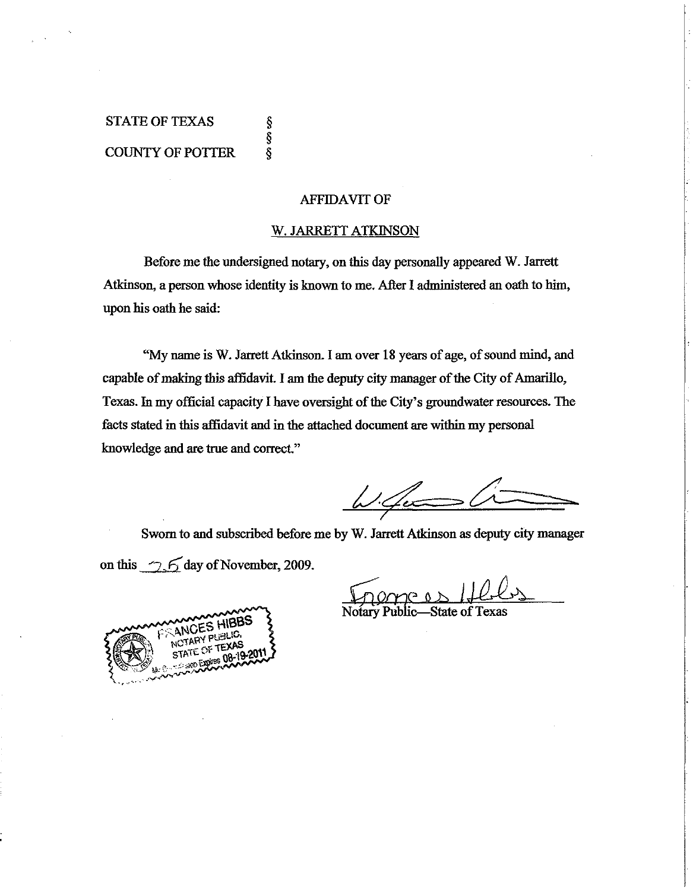# STATE OF TEXAS COUNTY OF POTTER

§<br>§<br>§

## AFFIDAVIT OF

## W. JARRETT ATKINSON

Before me the undersigned notary, on this day personally appeared W. Jarrett Atkinson, a person whose identity is known to me. After I administered an oath to him, upon his oath he said:

"My name is W. Jarrett Atkinson I **am** over 18 years of age, of sound mind, and capable of making this affidavit. I am the deputy city manager of the City of Amarillo, Texas. In my official capacity I have oversight of the City's groundwater resources. **The**  facts stated in this affidavit and in the attached document are within my personal knowledge and are true and correct."

 $\omega$ 

Sworn to and subscribed before me by W. Jarrett Atkinson as deputy city manager on this  $\sim$  6 day of November, 2009.

 $\Omega$ 

Notary Public-State of Texas